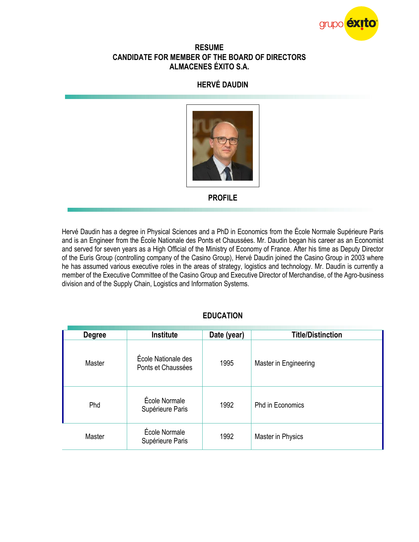

#### **RESUME CANDIDATE FOR MEMBER OF THE BOARD OF DIRECTORS ALMACENES ÉXITO S.A.**

# **HERVÉ DAUDIN**



**PROFILE**

Hervé Daudin has a degree in Physical Sciences and a PhD in Economics from the École Normale Supérieure Paris and is an Engineer from the École Nationale des Ponts et Chaussées. Mr. Daudin began his career as an Economist and served for seven years as a High Official of the Ministry of Economy of France. After his time as Deputy Director of the Euris Group (controlling company of the Casino Group), Hervé Daudin joined the Casino Group in 2003 where he has assumed various executive roles in the areas of strategy, logistics and technology. Mr. Daudin is currently a member of the Executive Committee of the Casino Group and Executive Director of Merchandise, of the Agro-business division and of the Supply Chain, Logistics and Information Systems.

## **EDUCATION**

| <b>Degree</b> | <b>Institute</b>                          | Date (year) | <b>Title/Distinction</b> |
|---------------|-------------------------------------------|-------------|--------------------------|
| Master        | École Nationale des<br>Ponts et Chaussées | 1995        | Master in Engineering    |
| Phd           | École Normale<br>Supérieure Paris         | 1992        | <b>Phd in Economics</b>  |
| Master        | École Normale<br>Supérieure Paris         | 1992        | Master in Physics        |